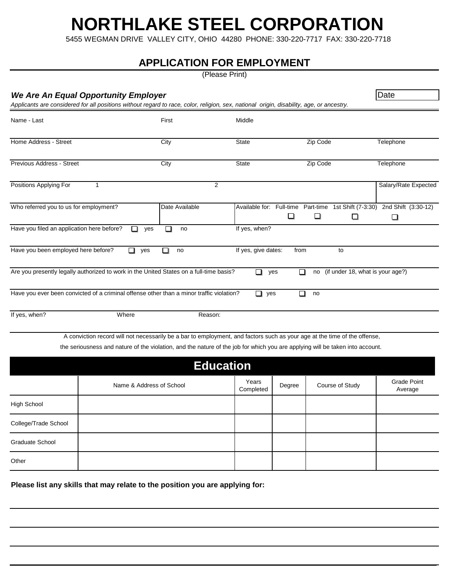## **NORTHLAKE STEEL CORPORATION**

5455 WEGMAN DRIVE VALLEY CITY, OHIO 44280 PHONE: 330-220-7717 FAX: 330-220-7718

#### **APPLICATION FOR EMPLOYMENT**

(Please Print)

|                                            | <b>We Are An Equal Opportunity Employer</b>                                                                                              |                  |                     |          |                                                                                     | Date                          |
|--------------------------------------------|------------------------------------------------------------------------------------------------------------------------------------------|------------------|---------------------|----------|-------------------------------------------------------------------------------------|-------------------------------|
|                                            | Applicants are considered for all positions without regard to race, color, religion, sex, national origin, disability, age, or ancestry. |                  |                     |          |                                                                                     |                               |
| Name - Last                                |                                                                                                                                          | First            | Middle              |          |                                                                                     |                               |
| Home Address - Street                      |                                                                                                                                          | City             | <b>State</b>        |          | Zip Code                                                                            | Telephone                     |
| Previous Address - Street                  |                                                                                                                                          | City             | <b>State</b>        |          | Zip Code                                                                            | Telephone                     |
| Positions Applying For                     | 1                                                                                                                                        | $\overline{2}$   |                     |          |                                                                                     | Salary/Rate Expected          |
| Who referred you to us for employment?     |                                                                                                                                          | Date Available   |                     | ❏        | Available for: Full-time Part-time 1st Shift (7-3:30) 2nd Shift (3:30-12)<br>❏<br>□ | ❏                             |
| Have you filed an application here before? | yes<br>n an                                                                                                                              | no<br>П          | If yes, when?       |          |                                                                                     |                               |
| Have you been employed here before?        | yes<br>П                                                                                                                                 | no<br>$\Box$     | If yes, give dates: | from     | to                                                                                  |                               |
|                                            | Are you presently legally authorized to work in the United States on a full-time basis?                                                  |                  | □                   | □<br>yes | (if under 18, what is your age?)<br>no                                              |                               |
|                                            | Have you ever been convicted of a criminal offense other than a minor traffic violation?                                                 |                  | $\Box$ yes          | п        | no                                                                                  |                               |
| If yes, when?                              | Where                                                                                                                                    | Reason:          |                     |          |                                                                                     |                               |
|                                            | A conviction record will not necessarily be a bar to employment, and factors such as your age at the time of the offense,                |                  |                     |          |                                                                                     |                               |
|                                            | the seriousness and nature of the violation, and the nature of the job for which you are applying will be taken into account.            |                  |                     |          |                                                                                     |                               |
|                                            |                                                                                                                                          | <b>Education</b> |                     |          |                                                                                     |                               |
|                                            | Name & Address of School                                                                                                                 |                  | Years<br>Completed  | Degree   | Course of Study                                                                     | <b>Grade Point</b><br>Average |
| <b>High School</b>                         |                                                                                                                                          |                  |                     |          |                                                                                     |                               |
| College/Trade School                       |                                                                                                                                          |                  |                     |          |                                                                                     |                               |
| <b>Graduate School</b>                     |                                                                                                                                          |                  |                     |          |                                                                                     |                               |
| Other                                      |                                                                                                                                          |                  |                     |          |                                                                                     |                               |

**Please list any skills that may relate to the position you are applying for:**